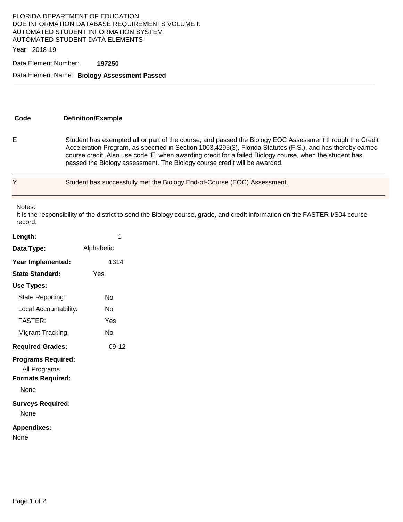## FLORIDA DEPARTMENT OF EDUCATION DOE INFORMATION DATABASE REQUIREMENTS VOLUME I: AUTOMATED STUDENT INFORMATION SYSTEM AUTOMATED STUDENT DATA ELEMENTS

Year: 2018-19

#### Data Element Number: **197250**

### Data Element Name: **Biology Assessment Passed**

**Code Definition/Example** 

E Student has exempted all or part of the course, and passed the Biology EOC Assessment through the Credit Acceleration Program, as specified in Section 1003.4295(3), Florida Statutes (F.S.), and has thereby earned course credit. Also use code 'E' when awarding credit for a failed Biology course, when the student has passed the Biology assessment. The Biology course credit will be awarded.

Y Student has successfully met the Biology End-of-Course (EOC) Assessment.

Notes:

It is the responsibility of the district to send the Biology course, grade, and credit information on the FASTER I/S04 course record.

| Length:                                                                       | 1          |
|-------------------------------------------------------------------------------|------------|
| Data Type:                                                                    | Alphabetic |
| Year Implemented:                                                             | 1314       |
| State Standard:                                                               | Yes        |
| Use Types:                                                                    |            |
| State Reporting:                                                              | N٥         |
| Local Accountability:                                                         | N٥         |
| <b>FASTER:</b>                                                                | Yes        |
| Migrant Tracking:                                                             | Nο         |
| <b>Required Grades:</b>                                                       | 09-12      |
| <b>Programs Required:</b><br>All Programs<br><b>Formats Required:</b><br>None |            |
| <b>Surveys Required:</b><br>None                                              |            |
| <b>Appendixes:</b><br>None                                                    |            |